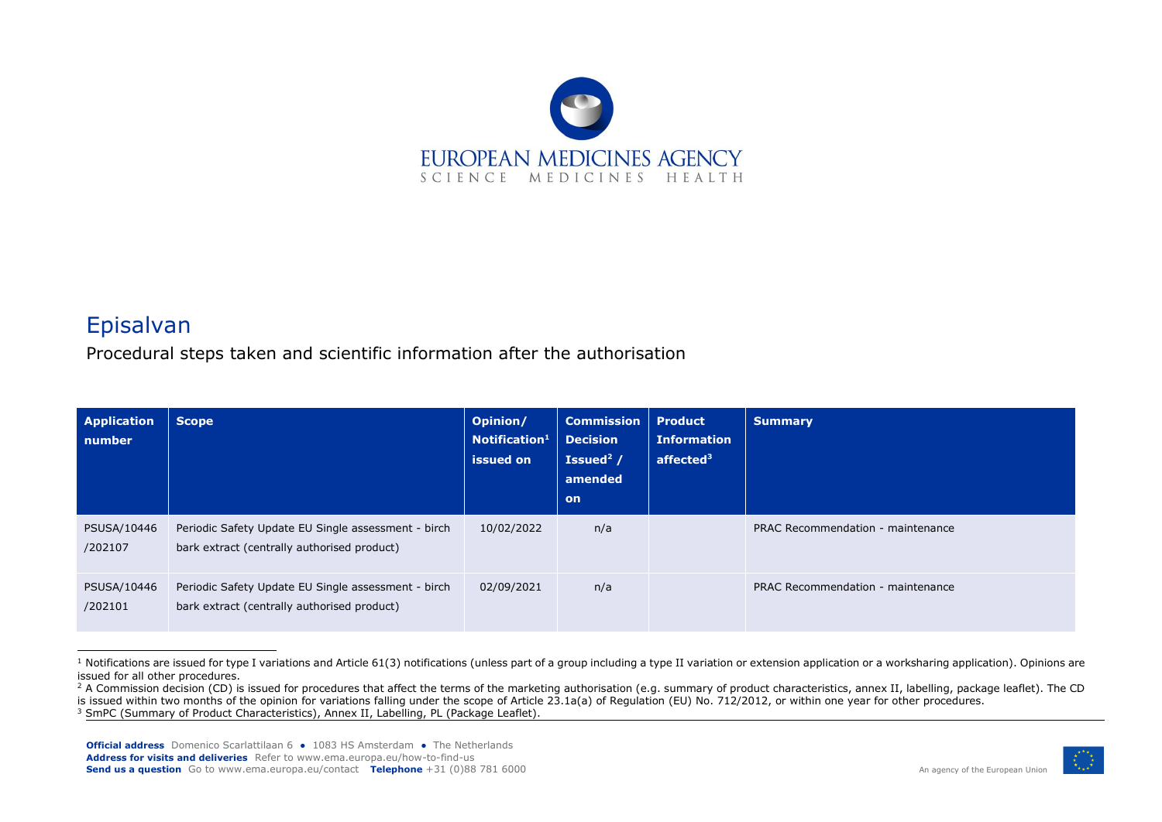

## Episalvan

Procedural steps taken and scientific information after the authorisation

| <b>Application</b><br>number | <b>Scope</b>                                                                                       | Opinion/<br>Notification <sup>1</sup><br>issued on | <b>Commission</b><br><b>Decision</b><br>Issued $2/$<br>amended<br><b>on</b> | <b>Product</b><br><b>Information</b><br>affected <sup>3</sup> | <b>Summary</b>                    |
|------------------------------|----------------------------------------------------------------------------------------------------|----------------------------------------------------|-----------------------------------------------------------------------------|---------------------------------------------------------------|-----------------------------------|
| PSUSA/10446<br>/202107       | Periodic Safety Update EU Single assessment - birch<br>bark extract (centrally authorised product) | 10/02/2022                                         | n/a                                                                         |                                                               | PRAC Recommendation - maintenance |
| PSUSA/10446<br>/202101       | Periodic Safety Update EU Single assessment - birch<br>bark extract (centrally authorised product) | 02/09/2021                                         | n/a                                                                         |                                                               | PRAC Recommendation - maintenance |

<sup>&</sup>lt;sup>1</sup> Notifications are issued for type I variations and Article 61(3) notifications (unless part of a group including a type II variation or extension application or a worksharing application). Opinions are issued for all other procedures.



<sup>&</sup>lt;sup>2</sup> A Commission decision (CD) is issued for procedures that affect the terms of the marketing authorisation (e.g. summary of product characteristics, annex II, labelling, package leaflet). The CD is issued within two months of the opinion for variations falling under the scope of Article 23.1a(a) of Regulation (EU) No. 712/2012, or within one year for other procedures.

<sup>3</sup> SmPC (Summary of Product Characteristics), Annex II, Labelling, PL (Package Leaflet).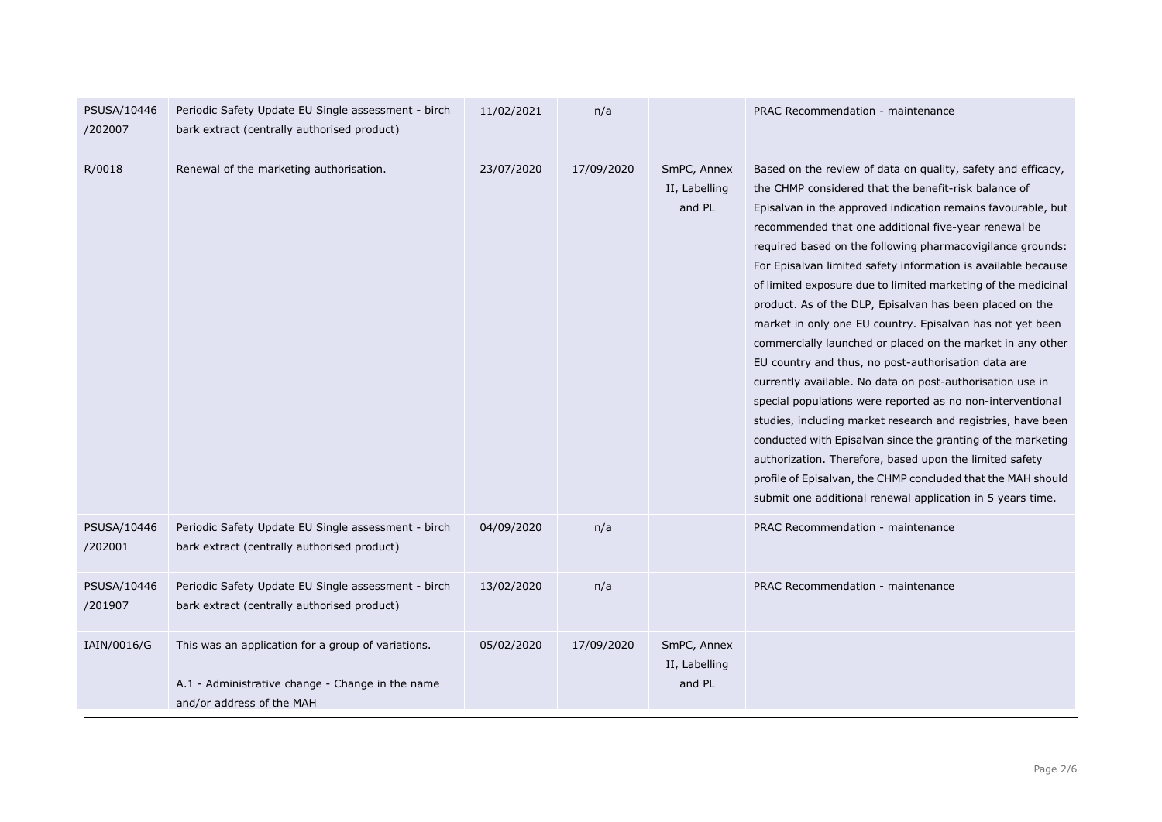| PSUSA/10446<br>/202007 | Periodic Safety Update EU Single assessment - birch<br>bark extract (centrally authorised product)                                  | 11/02/2021 | n/a        |                                        | PRAC Recommendation - maintenance                                                                                                                                                                                                                                                                                                                                                                                                                                                                                                                                                                                                                                                                                                                                                                                                                                                                                                                                                                                                                                                                                                              |
|------------------------|-------------------------------------------------------------------------------------------------------------------------------------|------------|------------|----------------------------------------|------------------------------------------------------------------------------------------------------------------------------------------------------------------------------------------------------------------------------------------------------------------------------------------------------------------------------------------------------------------------------------------------------------------------------------------------------------------------------------------------------------------------------------------------------------------------------------------------------------------------------------------------------------------------------------------------------------------------------------------------------------------------------------------------------------------------------------------------------------------------------------------------------------------------------------------------------------------------------------------------------------------------------------------------------------------------------------------------------------------------------------------------|
| R/0018                 | Renewal of the marketing authorisation.                                                                                             | 23/07/2020 | 17/09/2020 | SmPC, Annex<br>II, Labelling<br>and PL | Based on the review of data on quality, safety and efficacy,<br>the CHMP considered that the benefit-risk balance of<br>Episalvan in the approved indication remains favourable, but<br>recommended that one additional five-year renewal be<br>required based on the following pharmacovigilance grounds:<br>For Episalvan limited safety information is available because<br>of limited exposure due to limited marketing of the medicinal<br>product. As of the DLP, Episalvan has been placed on the<br>market in only one EU country. Episalvan has not yet been<br>commercially launched or placed on the market in any other<br>EU country and thus, no post-authorisation data are<br>currently available. No data on post-authorisation use in<br>special populations were reported as no non-interventional<br>studies, including market research and registries, have been<br>conducted with Episalvan since the granting of the marketing<br>authorization. Therefore, based upon the limited safety<br>profile of Episalvan, the CHMP concluded that the MAH should<br>submit one additional renewal application in 5 years time. |
| PSUSA/10446<br>/202001 | Periodic Safety Update EU Single assessment - birch<br>bark extract (centrally authorised product)                                  | 04/09/2020 | n/a        |                                        | PRAC Recommendation - maintenance                                                                                                                                                                                                                                                                                                                                                                                                                                                                                                                                                                                                                                                                                                                                                                                                                                                                                                                                                                                                                                                                                                              |
| PSUSA/10446<br>/201907 | Periodic Safety Update EU Single assessment - birch<br>bark extract (centrally authorised product)                                  | 13/02/2020 | n/a        |                                        | PRAC Recommendation - maintenance                                                                                                                                                                                                                                                                                                                                                                                                                                                                                                                                                                                                                                                                                                                                                                                                                                                                                                                                                                                                                                                                                                              |
| IAIN/0016/G            | This was an application for a group of variations.<br>A.1 - Administrative change - Change in the name<br>and/or address of the MAH | 05/02/2020 | 17/09/2020 | SmPC, Annex<br>II, Labelling<br>and PL |                                                                                                                                                                                                                                                                                                                                                                                                                                                                                                                                                                                                                                                                                                                                                                                                                                                                                                                                                                                                                                                                                                                                                |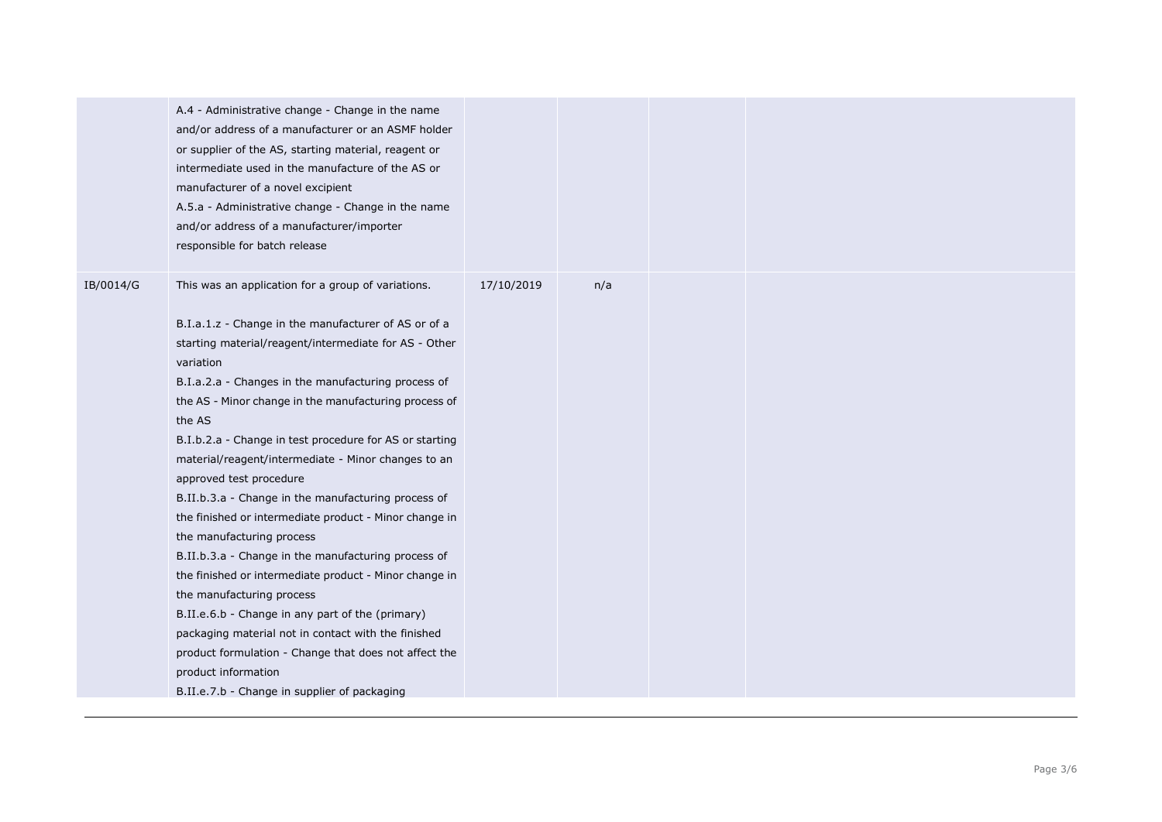| This was an application for a group of variations.<br>IB/0014/G<br>17/10/2019<br>n/a<br>B.I.a.1.z - Change in the manufacturer of AS or of a<br>starting material/reagent/intermediate for AS - Other<br>variation<br>B.I.a.2.a - Changes in the manufacturing process of<br>the AS - Minor change in the manufacturing process of<br>the AS<br>B.I.b.2.a - Change in test procedure for AS or starting<br>material/reagent/intermediate - Minor changes to an<br>approved test procedure<br>B.II.b.3.a - Change in the manufacturing process of | A.4 - Administrative change - Change in the name<br>and/or address of a manufacturer or an ASMF holder<br>or supplier of the AS, starting material, reagent or<br>intermediate used in the manufacture of the AS or<br>manufacturer of a novel excipient<br>A.5.a - Administrative change - Change in the name<br>and/or address of a manufacturer/importer<br>responsible for batch release |  |  |  |
|--------------------------------------------------------------------------------------------------------------------------------------------------------------------------------------------------------------------------------------------------------------------------------------------------------------------------------------------------------------------------------------------------------------------------------------------------------------------------------------------------------------------------------------------------|----------------------------------------------------------------------------------------------------------------------------------------------------------------------------------------------------------------------------------------------------------------------------------------------------------------------------------------------------------------------------------------------|--|--|--|
| the manufacturing process<br>B.II.b.3.a - Change in the manufacturing process of<br>the finished or intermediate product - Minor change in<br>the manufacturing process<br>B.II.e.6.b - Change in any part of the (primary)<br>packaging material not in contact with the finished<br>product formulation - Change that does not affect the<br>product information<br>B.II.e.7.b - Change in supplier of packaging                                                                                                                               | the finished or intermediate product - Minor change in                                                                                                                                                                                                                                                                                                                                       |  |  |  |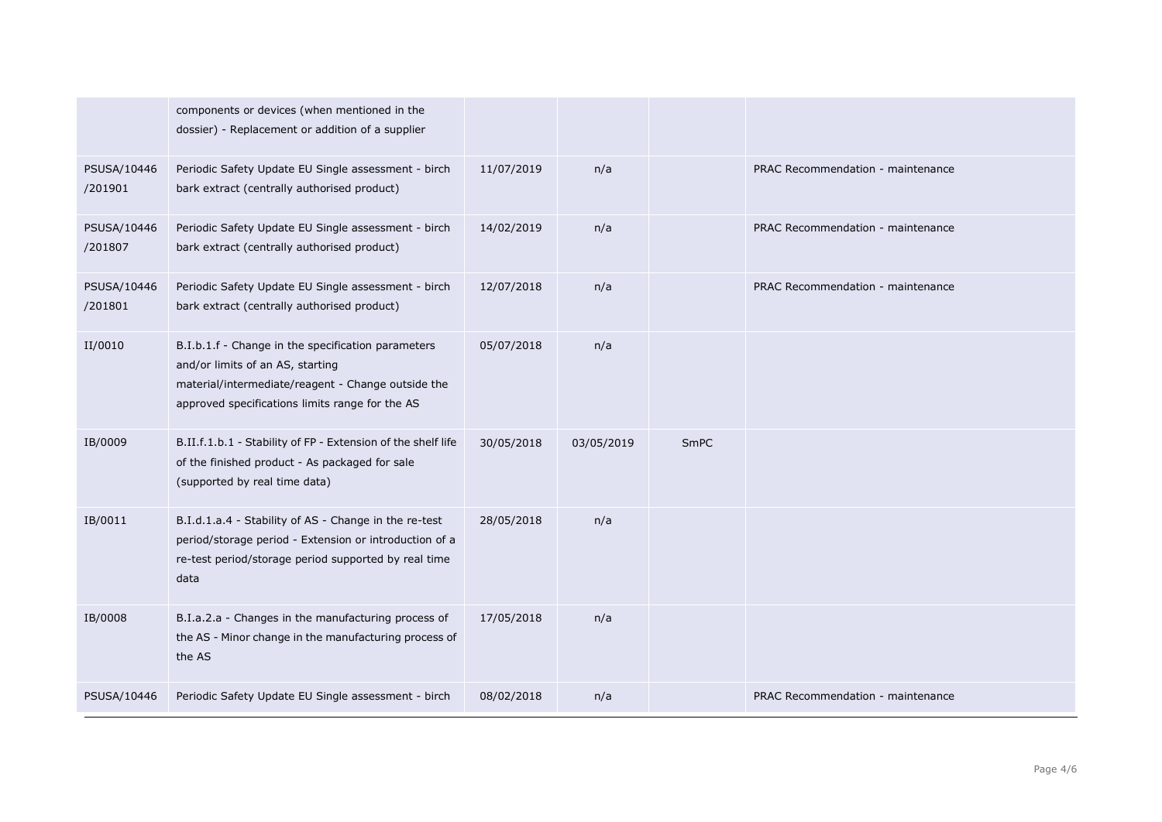|                        | components or devices (when mentioned in the<br>dossier) - Replacement or addition of a supplier                                                                                                |            |            |      |                                   |
|------------------------|-------------------------------------------------------------------------------------------------------------------------------------------------------------------------------------------------|------------|------------|------|-----------------------------------|
| PSUSA/10446<br>/201901 | Periodic Safety Update EU Single assessment - birch<br>bark extract (centrally authorised product)                                                                                              | 11/07/2019 | n/a        |      | PRAC Recommendation - maintenance |
| PSUSA/10446<br>/201807 | Periodic Safety Update EU Single assessment - birch<br>bark extract (centrally authorised product)                                                                                              | 14/02/2019 | n/a        |      | PRAC Recommendation - maintenance |
| PSUSA/10446<br>/201801 | Periodic Safety Update EU Single assessment - birch<br>bark extract (centrally authorised product)                                                                                              | 12/07/2018 | n/a        |      | PRAC Recommendation - maintenance |
| II/0010                | B.I.b.1.f - Change in the specification parameters<br>and/or limits of an AS, starting<br>material/intermediate/reagent - Change outside the<br>approved specifications limits range for the AS | 05/07/2018 | n/a        |      |                                   |
| IB/0009                | B.II.f.1.b.1 - Stability of FP - Extension of the shelf life<br>of the finished product - As packaged for sale<br>(supported by real time data)                                                 | 30/05/2018 | 03/05/2019 | SmPC |                                   |
| IB/0011                | B.I.d.1.a.4 - Stability of AS - Change in the re-test<br>period/storage period - Extension or introduction of a<br>re-test period/storage period supported by real time<br>data                 | 28/05/2018 | n/a        |      |                                   |
| IB/0008                | B.I.a.2.a - Changes in the manufacturing process of<br>the AS - Minor change in the manufacturing process of<br>the AS                                                                          | 17/05/2018 | n/a        |      |                                   |
| PSUSA/10446            | Periodic Safety Update EU Single assessment - birch                                                                                                                                             | 08/02/2018 | n/a        |      | PRAC Recommendation - maintenance |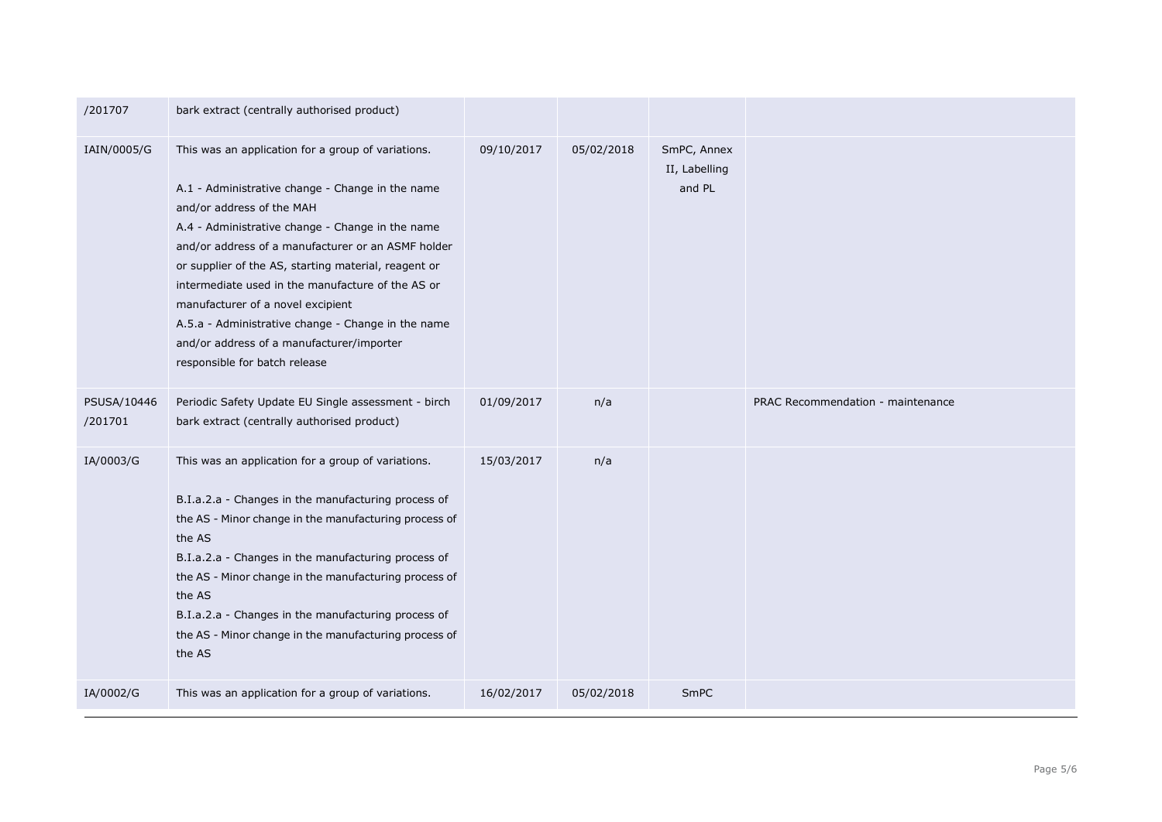| /201707                | bark extract (centrally authorised product)                                                                                                                                                                                                                                                                                                                                                                                                                                                                                         |            |            |                                        |                                   |
|------------------------|-------------------------------------------------------------------------------------------------------------------------------------------------------------------------------------------------------------------------------------------------------------------------------------------------------------------------------------------------------------------------------------------------------------------------------------------------------------------------------------------------------------------------------------|------------|------------|----------------------------------------|-----------------------------------|
| IAIN/0005/G            | This was an application for a group of variations.<br>A.1 - Administrative change - Change in the name<br>and/or address of the MAH<br>A.4 - Administrative change - Change in the name<br>and/or address of a manufacturer or an ASMF holder<br>or supplier of the AS, starting material, reagent or<br>intermediate used in the manufacture of the AS or<br>manufacturer of a novel excipient<br>A.5.a - Administrative change - Change in the name<br>and/or address of a manufacturer/importer<br>responsible for batch release | 09/10/2017 | 05/02/2018 | SmPC, Annex<br>II, Labelling<br>and PL |                                   |
| PSUSA/10446<br>/201701 | Periodic Safety Update EU Single assessment - birch<br>bark extract (centrally authorised product)                                                                                                                                                                                                                                                                                                                                                                                                                                  | 01/09/2017 | n/a        |                                        | PRAC Recommendation - maintenance |
| IA/0003/G              | This was an application for a group of variations.<br>B.I.a.2.a - Changes in the manufacturing process of<br>the AS - Minor change in the manufacturing process of<br>the AS<br>B.I.a.2.a - Changes in the manufacturing process of<br>the AS - Minor change in the manufacturing process of<br>the AS<br>B.I.a.2.a - Changes in the manufacturing process of<br>the AS - Minor change in the manufacturing process of<br>the AS                                                                                                    | 15/03/2017 | n/a        |                                        |                                   |
| IA/0002/G              | This was an application for a group of variations.                                                                                                                                                                                                                                                                                                                                                                                                                                                                                  | 16/02/2017 | 05/02/2018 | SmPC                                   |                                   |